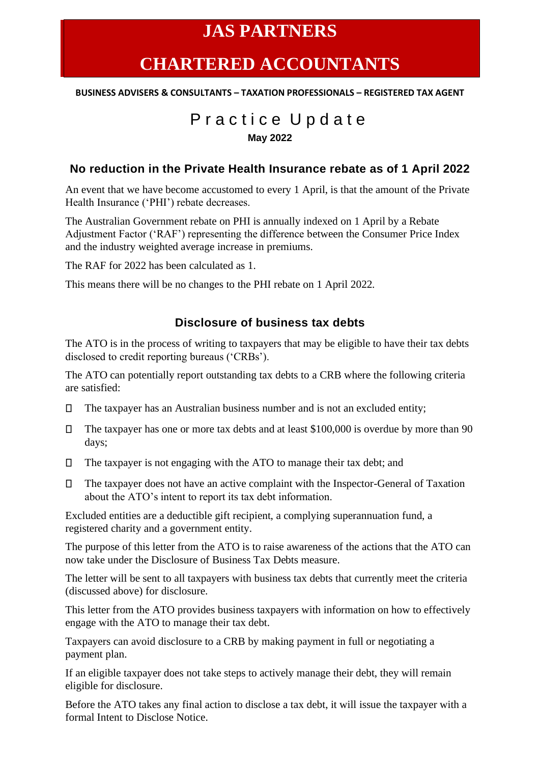## **JAS PARTNERS**

# **CHARTERED ACCOUNTANTS**

#### **BUSINESS ADVISERS & CONSULTANTS – TAXATION PROFESSIONALS – REGISTERED TAX AGENT**

### Practice Update **May 2022**

#### **No reduction in the Private Health Insurance rebate as of 1 April 2022**

An event that we have become accustomed to every 1 April, is that the amount of the Private Health Insurance ('PHI') rebate decreases.

The Australian Government rebate on PHI is annually indexed on 1 April by a Rebate Adjustment Factor ('RAF') representing the difference between the Consumer Price Index and the industry weighted average increase in premiums.

The RAF for 2022 has been calculated as 1.

This means there will be no changes to the PHI rebate on 1 April 2022.

#### **Disclosure of business tax debts**

The ATO is in the process of writing to taxpayers that may be eligible to have their tax debts disclosed to credit reporting bureaus ('CRBs').

The ATO can potentially report outstanding tax debts to a CRB where the following criteria are satisfied:

- $\Box$ The taxpayer has an Australian business number and is not an excluded entity;
- $\Box$ The taxpayer has one or more tax debts and at least \$100,000 is overdue by more than 90 days;
- $\Box$ The taxpayer is not engaging with the ATO to manage their tax debt; and
- $\Box$ The taxpayer does not have an active complaint with the Inspector-General of Taxation about the ATO's intent to report its tax debt information.

Excluded entities are a deductible gift recipient, a complying superannuation fund, a registered charity and a government entity.

The purpose of this letter from the ATO is to raise awareness of the actions that the ATO can now take under the Disclosure of Business Tax Debts measure.

The letter will be sent to all taxpayers with business tax debts that currently meet the criteria (discussed above) for disclosure.

This letter from the ATO provides business taxpayers with information on how to effectively engage with the ATO to manage their tax debt.

Taxpayers can avoid disclosure to a CRB by making payment in full or negotiating a payment plan.

If an eligible taxpayer does not take steps to actively manage their debt, they will remain eligible for disclosure.

Before the ATO takes any final action to disclose a tax debt, it will issue the taxpayer with a formal Intent to Disclose Notice.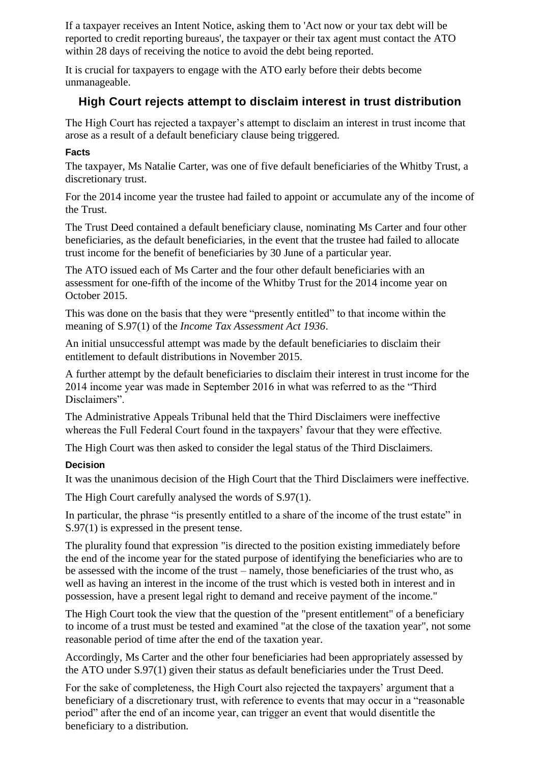If a taxpayer receives an Intent Notice, asking them to 'Act now or your tax debt will be reported to credit reporting bureaus', the taxpayer or their tax agent must contact the ATO within 28 days of receiving the notice to avoid the debt being reported.

It is crucial for taxpayers to engage with the ATO early before their debts become unmanageable.

### **High Court rejects attempt to disclaim interest in trust distribution**

The High Court has rejected a taxpayer's attempt to disclaim an interest in trust income that arose as a result of a default beneficiary clause being triggered.

#### **Facts**

The taxpayer, Ms Natalie Carter, was one of five default beneficiaries of the Whitby Trust, a discretionary trust.

For the 2014 income year the trustee had failed to appoint or accumulate any of the income of the Trust.

The Trust Deed contained a default beneficiary clause, nominating Ms Carter and four other beneficiaries, as the default beneficiaries, in the event that the trustee had failed to allocate trust income for the benefit of beneficiaries by 30 June of a particular year.

The ATO issued each of Ms Carter and the four other default beneficiaries with an assessment for one-fifth of the income of the Whitby Trust for the 2014 income year on October 2015.

This was done on the basis that they were "presently entitled" to that income within the meaning of S.97(1) of the *Income Tax Assessment Act 1936*.

An initial unsuccessful attempt was made by the default beneficiaries to disclaim their entitlement to default distributions in November 2015.

A further attempt by the default beneficiaries to disclaim their interest in trust income for the 2014 income year was made in September 2016 in what was referred to as the "Third Disclaimers".

The Administrative Appeals Tribunal held that the Third Disclaimers were ineffective whereas the Full Federal Court found in the taxpayers' favour that they were effective.

The High Court was then asked to consider the legal status of the Third Disclaimers.

#### **Decision**

It was the unanimous decision of the High Court that the Third Disclaimers were ineffective.

The High Court carefully analysed the words of S.97(1).

In particular, the phrase "is presently entitled to a share of the income of the trust estate" in S.97(1) is expressed in the present tense.

The plurality found that expression "is directed to the position existing immediately before the end of the income year for the stated purpose of identifying the beneficiaries who are to be assessed with the income of the trust – namely, those beneficiaries of the trust who, as well as having an interest in the income of the trust which is vested both in interest and in possession, have a present legal right to demand and receive payment of the income."

The High Court took the view that the question of the "present entitlement" of a beneficiary to income of a trust must be tested and examined "at the close of the taxation year", not some reasonable period of time after the end of the taxation year.

Accordingly, Ms Carter and the other four beneficiaries had been appropriately assessed by the ATO under S.97(1) given their status as default beneficiaries under the Trust Deed.

For the sake of completeness, the High Court also rejected the taxpayers' argument that a beneficiary of a discretionary trust, with reference to events that may occur in a "reasonable period" after the end of an income year, can trigger an event that would disentitle the beneficiary to a distribution.